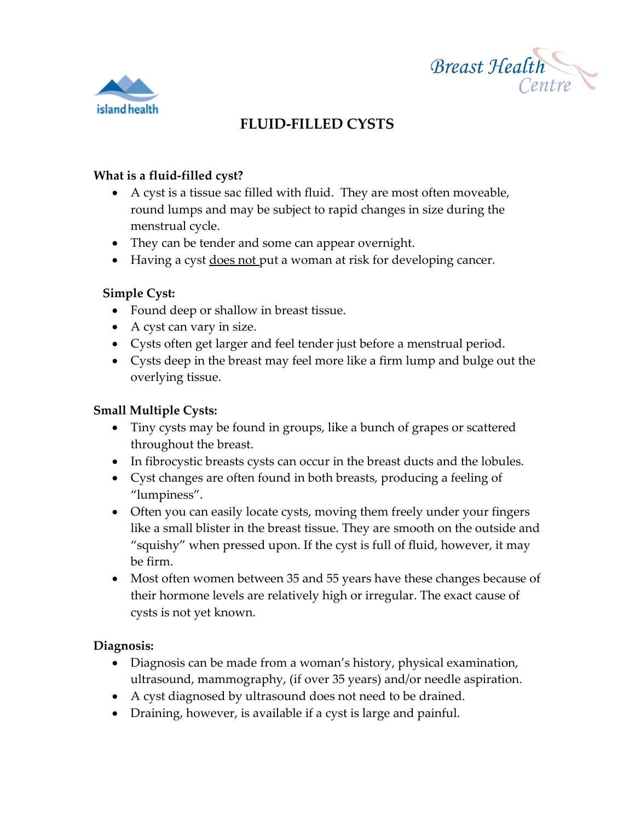



# **FLUID-FILLED CYSTS**

#### **What is a fluid-filled cyst?**

- A cyst is a tissue sac filled with fluid. They are most often moveable, round lumps and may be subject to rapid changes in size during the menstrual cycle.
- They can be tender and some can appear overnight.
- Having a cyst does not put a woman at risk for developing cancer.

# **Simple Cyst:**

- Found deep or shallow in breast tissue.
- A cyst can vary in size.
- Cysts often get larger and feel tender just before a menstrual period.
- Cysts deep in the breast may feel more like a firm lump and bulge out the overlying tissue.

#### **Small Multiple Cysts:**

- Tiny cysts may be found in groups, like a bunch of grapes or scattered throughout the breast.
- In fibrocystic breasts cysts can occur in the breast ducts and the lobules.
- Cyst changes are often found in both breasts, producing a feeling of "lumpiness".
- Often you can easily locate cysts, moving them freely under your fingers like a small blister in the breast tissue. They are smooth on the outside and "squishy" when pressed upon. If the cyst is full of fluid, however, it may be firm.
- Most often women between 35 and 55 years have these changes because of their hormone levels are relatively high or irregular. The exact cause of cysts is not yet known.

# **Diagnosis:**

- Diagnosis can be made from a woman's history, physical examination, ultrasound, mammography, (if over 35 years) and/or needle aspiration.
- A cyst diagnosed by ultrasound does not need to be drained.
- Draining, however, is available if a cyst is large and painful.